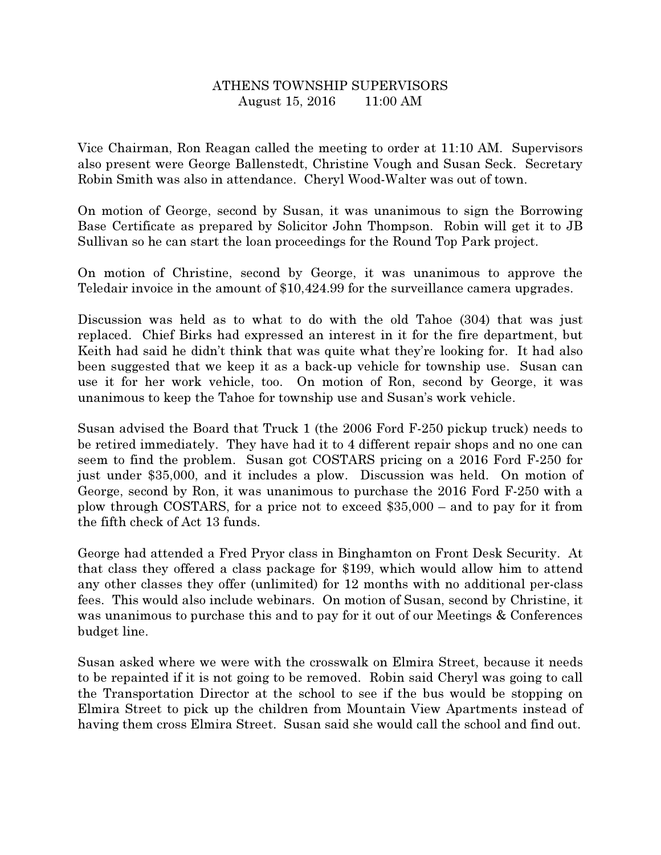## ATHENS TOWNSHIP SUPERVISORS August 15, 2016 11:00 AM

Vice Chairman, Ron Reagan called the meeting to order at 11:10 AM. Supervisors also present were George Ballenstedt, Christine Vough and Susan Seck. Secretary Robin Smith was also in attendance. Cheryl Wood-Walter was out of town.

On motion of George, second by Susan, it was unanimous to sign the Borrowing Base Certificate as prepared by Solicitor John Thompson. Robin will get it to JB Sullivan so he can start the loan proceedings for the Round Top Park project.

On motion of Christine, second by George, it was unanimous to approve the Teledair invoice in the amount of \$10,424.99 for the surveillance camera upgrades.

Discussion was held as to what to do with the old Tahoe (304) that was just replaced. Chief Birks had expressed an interest in it for the fire department, but Keith had said he didn't think that was quite what they're looking for. It had also been suggested that we keep it as a back-up vehicle for township use. Susan can use it for her work vehicle, too. On motion of Ron, second by George, it was unanimous to keep the Tahoe for township use and Susan's work vehicle.

Susan advised the Board that Truck 1 (the 2006 Ford F-250 pickup truck) needs to be retired immediately. They have had it to 4 different repair shops and no one can seem to find the problem. Susan got COSTARS pricing on a 2016 Ford F-250 for just under \$35,000, and it includes a plow. Discussion was held. On motion of George, second by Ron, it was unanimous to purchase the 2016 Ford F-250 with a plow through COSTARS, for a price not to exceed \$35,000 – and to pay for it from the fifth check of Act 13 funds.

George had attended a Fred Pryor class in Binghamton on Front Desk Security. At that class they offered a class package for \$199, which would allow him to attend any other classes they offer (unlimited) for 12 months with no additional per-class fees. This would also include webinars. On motion of Susan, second by Christine, it was unanimous to purchase this and to pay for it out of our Meetings & Conferences budget line.

Susan asked where we were with the crosswalk on Elmira Street, because it needs to be repainted if it is not going to be removed. Robin said Cheryl was going to call the Transportation Director at the school to see if the bus would be stopping on Elmira Street to pick up the children from Mountain View Apartments instead of having them cross Elmira Street. Susan said she would call the school and find out.